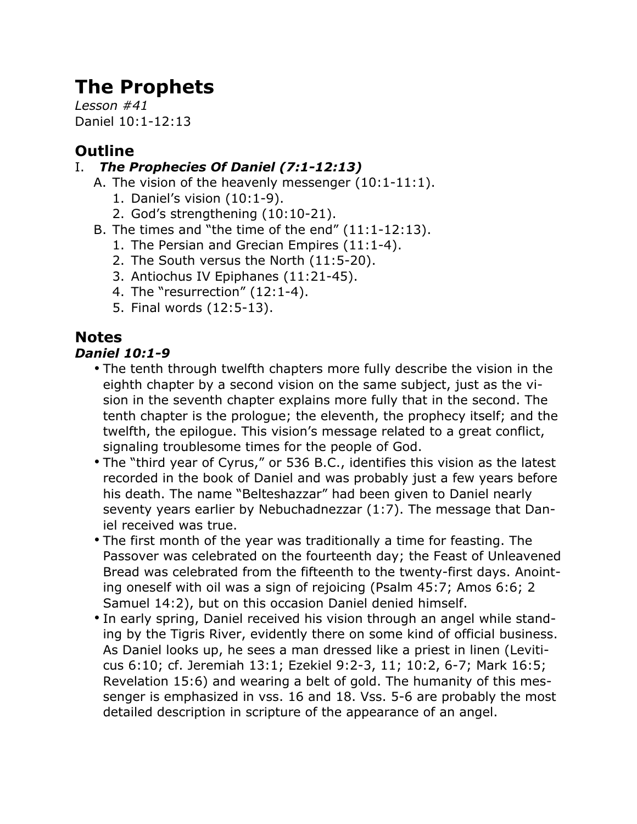# **The Prophets**

*Lesson #41* Daniel 10:1-12:13

# **Outline**

# I. *The Prophecies Of Daniel (7:1-12:13)*

- A. The vision of the heavenly messenger (10:1-11:1).
	- 1. Daniel's vision (10:1-9).
	- 2. God's strengthening (10:10-21).
- B. The times and "the time of the end" (11:1-12:13).
	- 1. The Persian and Grecian Empires (11:1-4).
	- 2. The South versus the North (11:5-20).
	- 3. Antiochus IV Epiphanes (11:21-45).
	- 4. The "resurrection" (12:1-4).
	- 5. Final words (12:5-13).

# **Notes**

# *Daniel 10:1-9*

- The tenth through twelfth chapters more fully describe the vision in the eighth chapter by a second vision on the same subject, just as the vision in the seventh chapter explains more fully that in the second. The tenth chapter is the prologue; the eleventh, the prophecy itself; and the twelfth, the epilogue. This vision's message related to a great conflict, signaling troublesome times for the people of God.
- The "third year of Cyrus," or 536 B.C., identifies this vision as the latest recorded in the book of Daniel and was probably just a few years before his death. The name "Belteshazzar" had been given to Daniel nearly seventy years earlier by Nebuchadnezzar (1:7). The message that Daniel received was true.
- The first month of the year was traditionally a time for feasting. The Passover was celebrated on the fourteenth day; the Feast of Unleavened Bread was celebrated from the fifteenth to the twenty-first days. Anointing oneself with oil was a sign of rejoicing (Psalm 45:7; Amos 6:6; 2 Samuel 14:2), but on this occasion Daniel denied himself.
- In early spring, Daniel received his vision through an angel while standing by the Tigris River, evidently there on some kind of official business. As Daniel looks up, he sees a man dressed like a priest in linen (Leviticus 6:10; cf. Jeremiah 13:1; Ezekiel 9:2-3, 11; 10:2, 6-7; Mark 16:5; Revelation 15:6) and wearing a belt of gold. The humanity of this messenger is emphasized in vss. 16 and 18. Vss. 5-6 are probably the most detailed description in scripture of the appearance of an angel.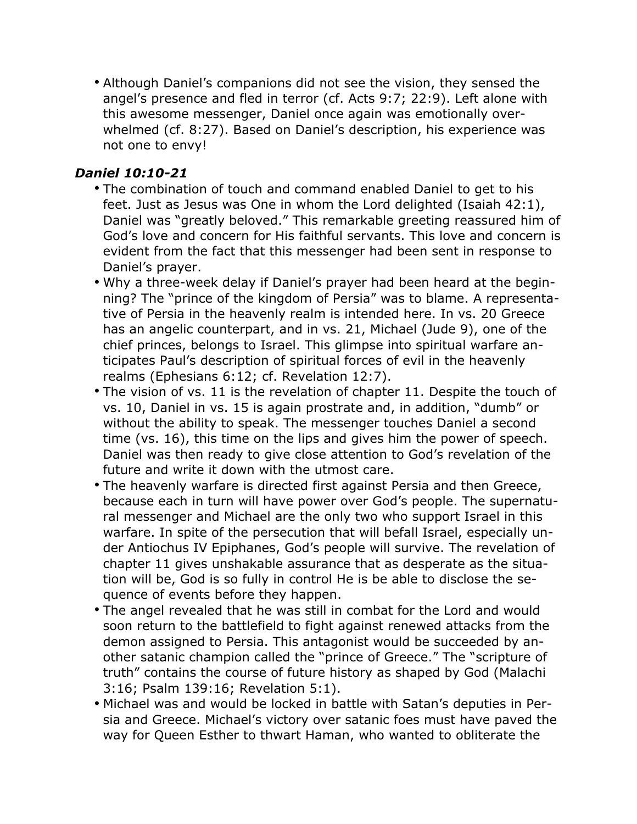• Although Daniel's companions did not see the vision, they sensed the angel's presence and fled in terror (cf. Acts 9:7; 22:9). Left alone with this awesome messenger, Daniel once again was emotionally overwhelmed (cf. 8:27). Based on Daniel's description, his experience was not one to envy!

#### *Daniel 10:10-21*

- The combination of touch and command enabled Daniel to get to his feet. Just as Jesus was One in whom the Lord delighted (Isaiah 42:1), Daniel was "greatly beloved." This remarkable greeting reassured him of God's love and concern for His faithful servants. This love and concern is evident from the fact that this messenger had been sent in response to Daniel's prayer.
- Why a three-week delay if Daniel's prayer had been heard at the beginning? The "prince of the kingdom of Persia" was to blame. A representative of Persia in the heavenly realm is intended here. In vs. 20 Greece has an angelic counterpart, and in vs. 21, Michael (Jude 9), one of the chief princes, belongs to Israel. This glimpse into spiritual warfare anticipates Paul's description of spiritual forces of evil in the heavenly realms (Ephesians 6:12; cf. Revelation 12:7).
- The vision of vs. 11 is the revelation of chapter 11. Despite the touch of vs. 10, Daniel in vs. 15 is again prostrate and, in addition, "dumb" or without the ability to speak. The messenger touches Daniel a second time (vs. 16), this time on the lips and gives him the power of speech. Daniel was then ready to give close attention to God's revelation of the future and write it down with the utmost care.
- The heavenly warfare is directed first against Persia and then Greece, because each in turn will have power over God's people. The supernatural messenger and Michael are the only two who support Israel in this warfare. In spite of the persecution that will befall Israel, especially under Antiochus IV Epiphanes, God's people will survive. The revelation of chapter 11 gives unshakable assurance that as desperate as the situation will be, God is so fully in control He is be able to disclose the sequence of events before they happen.
- The angel revealed that he was still in combat for the Lord and would soon return to the battlefield to fight against renewed attacks from the demon assigned to Persia. This antagonist would be succeeded by another satanic champion called the "prince of Greece." The "scripture of truth" contains the course of future history as shaped by God (Malachi 3:16; Psalm 139:16; Revelation 5:1).
- Michael was and would be locked in battle with Satan's deputies in Persia and Greece. Michael's victory over satanic foes must have paved the way for Queen Esther to thwart Haman, who wanted to obliterate the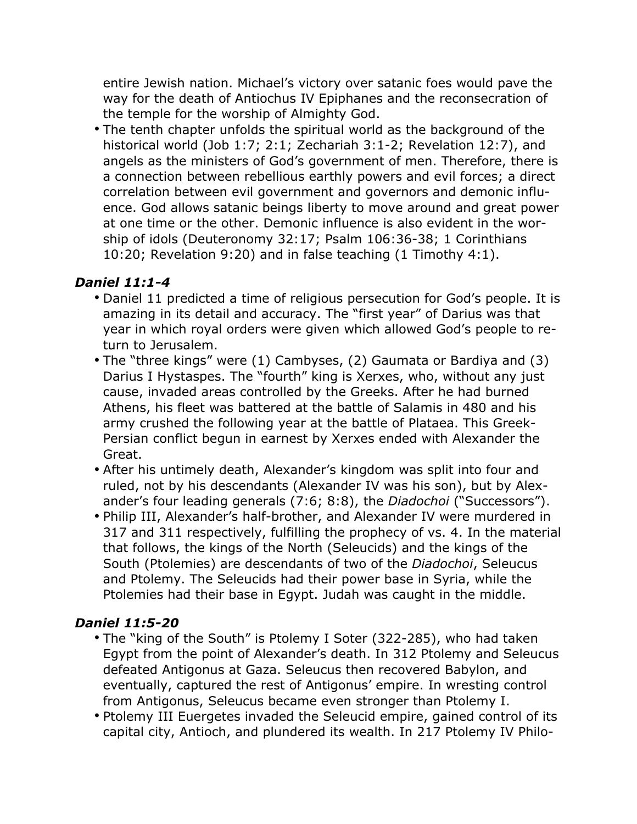entire Jewish nation. Michael's victory over satanic foes would pave the way for the death of Antiochus IV Epiphanes and the reconsecration of the temple for the worship of Almighty God.

• The tenth chapter unfolds the spiritual world as the background of the historical world (Job 1:7; 2:1; Zechariah 3:1-2; Revelation 12:7), and angels as the ministers of God's government of men. Therefore, there is a connection between rebellious earthly powers and evil forces; a direct correlation between evil government and governors and demonic influence. God allows satanic beings liberty to move around and great power at one time or the other. Demonic influence is also evident in the worship of idols (Deuteronomy 32:17; Psalm 106:36-38; 1 Corinthians 10:20; Revelation 9:20) and in false teaching (1 Timothy 4:1).

#### *Daniel 11:1-4*

- Daniel 11 predicted a time of religious persecution for God's people. It is amazing in its detail and accuracy. The "first year" of Darius was that year in which royal orders were given which allowed God's people to return to Jerusalem.
- The "three kings" were (1) Cambyses, (2) Gaumata or Bardiya and (3) Darius I Hystaspes. The "fourth" king is Xerxes, who, without any just cause, invaded areas controlled by the Greeks. After he had burned Athens, his fleet was battered at the battle of Salamis in 480 and his army crushed the following year at the battle of Plataea. This Greek-Persian conflict begun in earnest by Xerxes ended with Alexander the Great.
- After his untimely death, Alexander's kingdom was split into four and ruled, not by his descendants (Alexander IV was his son), but by Alexander's four leading generals (7:6; 8:8), the *Diadochoi* ("Successors").
- Philip III, Alexander's half-brother, and Alexander IV were murdered in 317 and 311 respectively, fulfilling the prophecy of vs. 4. In the material that follows, the kings of the North (Seleucids) and the kings of the South (Ptolemies) are descendants of two of the *Diadochoi*, Seleucus and Ptolemy. The Seleucids had their power base in Syria, while the Ptolemies had their base in Egypt. Judah was caught in the middle.

## *Daniel 11:5-20*

- The "king of the South" is Ptolemy I Soter (322-285), who had taken Egypt from the point of Alexander's death. In 312 Ptolemy and Seleucus defeated Antigonus at Gaza. Seleucus then recovered Babylon, and eventually, captured the rest of Antigonus' empire. In wresting control from Antigonus, Seleucus became even stronger than Ptolemy I.
- Ptolemy III Euergetes invaded the Seleucid empire, gained control of its capital city, Antioch, and plundered its wealth. In 217 Ptolemy IV Philo-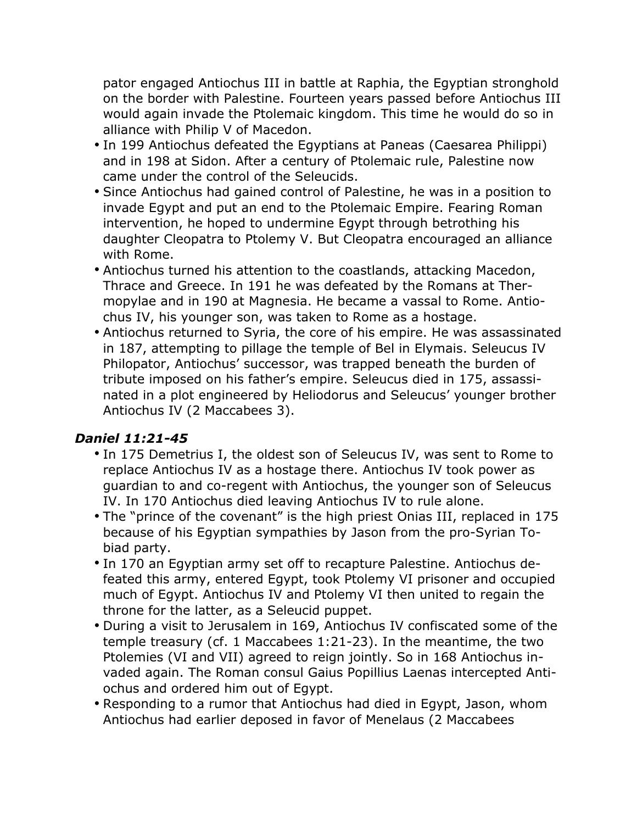pator engaged Antiochus III in battle at Raphia, the Egyptian stronghold on the border with Palestine. Fourteen years passed before Antiochus III would again invade the Ptolemaic kingdom. This time he would do so in alliance with Philip V of Macedon.

- In 199 Antiochus defeated the Egyptians at Paneas (Caesarea Philippi) and in 198 at Sidon. After a century of Ptolemaic rule, Palestine now came under the control of the Seleucids.
- Since Antiochus had gained control of Palestine, he was in a position to invade Egypt and put an end to the Ptolemaic Empire. Fearing Roman intervention, he hoped to undermine Egypt through betrothing his daughter Cleopatra to Ptolemy V. But Cleopatra encouraged an alliance with Rome.
- Antiochus turned his attention to the coastlands, attacking Macedon, Thrace and Greece. In 191 he was defeated by the Romans at Thermopylae and in 190 at Magnesia. He became a vassal to Rome. Antiochus IV, his younger son, was taken to Rome as a hostage.
- Antiochus returned to Syria, the core of his empire. He was assassinated in 187, attempting to pillage the temple of Bel in Elymais. Seleucus IV Philopator, Antiochus' successor, was trapped beneath the burden of tribute imposed on his father's empire. Seleucus died in 175, assassinated in a plot engineered by Heliodorus and Seleucus' younger brother Antiochus IV (2 Maccabees 3).

## *Daniel 11:21-45*

- In 175 Demetrius I, the oldest son of Seleucus IV, was sent to Rome to replace Antiochus IV as a hostage there. Antiochus IV took power as guardian to and co-regent with Antiochus, the younger son of Seleucus IV. In 170 Antiochus died leaving Antiochus IV to rule alone.
- The "prince of the covenant" is the high priest Onias III, replaced in 175 because of his Egyptian sympathies by Jason from the pro-Syrian Tobiad party.
- In 170 an Egyptian army set off to recapture Palestine. Antiochus defeated this army, entered Egypt, took Ptolemy VI prisoner and occupied much of Egypt. Antiochus IV and Ptolemy VI then united to regain the throne for the latter, as a Seleucid puppet.
- During a visit to Jerusalem in 169, Antiochus IV confiscated some of the temple treasury (cf. 1 Maccabees 1:21-23). In the meantime, the two Ptolemies (VI and VII) agreed to reign jointly. So in 168 Antiochus invaded again. The Roman consul Gaius Popillius Laenas intercepted Antiochus and ordered him out of Egypt.
- Responding to a rumor that Antiochus had died in Egypt, Jason, whom Antiochus had earlier deposed in favor of Menelaus (2 Maccabees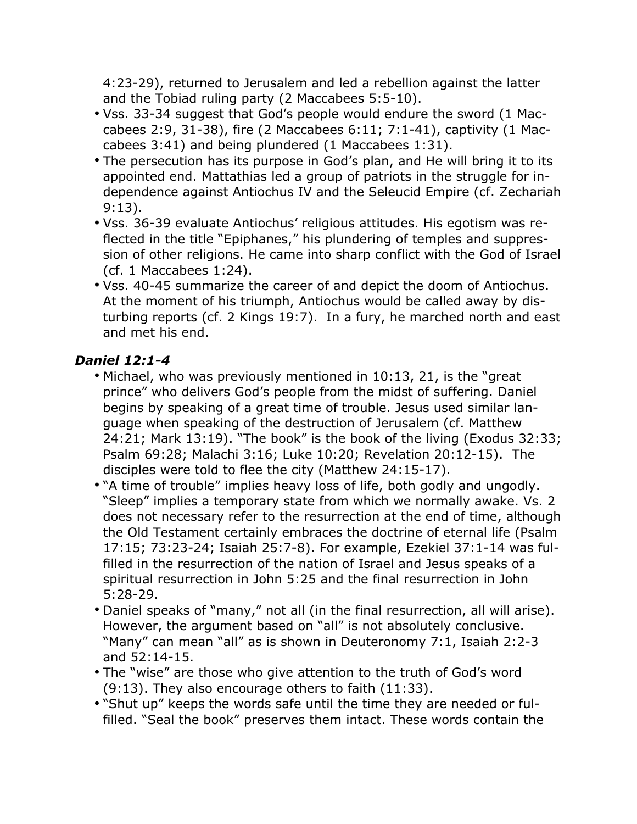4:23-29), returned to Jerusalem and led a rebellion against the latter and the Tobiad ruling party (2 Maccabees 5:5-10).

- Vss. 33-34 suggest that God's people would endure the sword (1 Maccabees 2:9, 31-38), fire (2 Maccabees 6:11; 7:1-41), captivity (1 Maccabees 3:41) and being plundered (1 Maccabees 1:31).
- The persecution has its purpose in God's plan, and He will bring it to its appointed end. Mattathias led a group of patriots in the struggle for independence against Antiochus IV and the Seleucid Empire (cf. Zechariah 9:13).
- Vss. 36-39 evaluate Antiochus' religious attitudes. His egotism was reflected in the title "Epiphanes," his plundering of temples and suppression of other religions. He came into sharp conflict with the God of Israel (cf. 1 Maccabees 1:24).
- Vss. 40-45 summarize the career of and depict the doom of Antiochus. At the moment of his triumph, Antiochus would be called away by disturbing reports (cf. 2 Kings 19:7). In a fury, he marched north and east and met his end.

## *Daniel 12:1-4*

- Michael, who was previously mentioned in 10:13, 21, is the "great prince" who delivers God's people from the midst of suffering. Daniel begins by speaking of a great time of trouble. Jesus used similar language when speaking of the destruction of Jerusalem (cf. Matthew 24:21; Mark 13:19). "The book" is the book of the living (Exodus 32:33; Psalm 69:28; Malachi 3:16; Luke 10:20; Revelation 20:12-15). The disciples were told to flee the city (Matthew 24:15-17).
- "A time of trouble" implies heavy loss of life, both godly and ungodly. "Sleep" implies a temporary state from which we normally awake. Vs. 2 does not necessary refer to the resurrection at the end of time, although the Old Testament certainly embraces the doctrine of eternal life (Psalm 17:15; 73:23-24; Isaiah 25:7-8). For example, Ezekiel 37:1-14 was fulfilled in the resurrection of the nation of Israel and Jesus speaks of a spiritual resurrection in John 5:25 and the final resurrection in John 5:28-29.
- Daniel speaks of "many," not all (in the final resurrection, all will arise). However, the argument based on "all" is not absolutely conclusive. "Many" can mean "all" as is shown in Deuteronomy 7:1, Isaiah 2:2-3 and 52:14-15.
- The "wise" are those who give attention to the truth of God's word (9:13). They also encourage others to faith (11:33).
- "Shut up" keeps the words safe until the time they are needed or fulfilled. "Seal the book" preserves them intact. These words contain the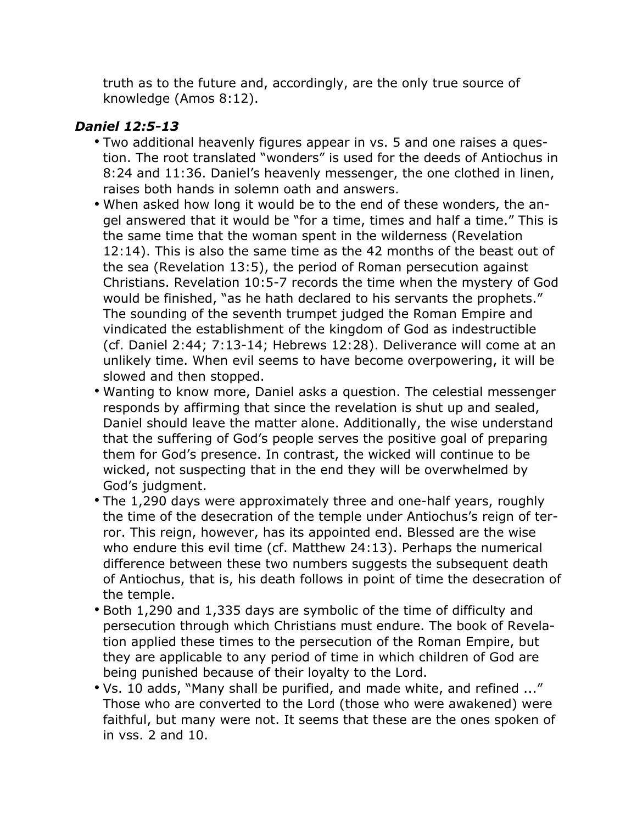truth as to the future and, accordingly, are the only true source of knowledge (Amos 8:12).

#### *Daniel 12:5-13*

- Two additional heavenly figures appear in vs. 5 and one raises a question. The root translated "wonders" is used for the deeds of Antiochus in 8:24 and 11:36. Daniel's heavenly messenger, the one clothed in linen, raises both hands in solemn oath and answers.
- When asked how long it would be to the end of these wonders, the angel answered that it would be "for a time, times and half a time." This is the same time that the woman spent in the wilderness (Revelation 12:14). This is also the same time as the 42 months of the beast out of the sea (Revelation 13:5), the period of Roman persecution against Christians. Revelation 10:5-7 records the time when the mystery of God would be finished, "as he hath declared to his servants the prophets." The sounding of the seventh trumpet judged the Roman Empire and vindicated the establishment of the kingdom of God as indestructible (cf. Daniel 2:44; 7:13-14; Hebrews 12:28). Deliverance will come at an unlikely time. When evil seems to have become overpowering, it will be slowed and then stopped.
- Wanting to know more, Daniel asks a question. The celestial messenger responds by affirming that since the revelation is shut up and sealed, Daniel should leave the matter alone. Additionally, the wise understand that the suffering of God's people serves the positive goal of preparing them for God's presence. In contrast, the wicked will continue to be wicked, not suspecting that in the end they will be overwhelmed by God's judgment.
- The 1,290 days were approximately three and one-half years, roughly the time of the desecration of the temple under Antiochus's reign of terror. This reign, however, has its appointed end. Blessed are the wise who endure this evil time (cf. Matthew 24:13). Perhaps the numerical difference between these two numbers suggests the subsequent death of Antiochus, that is, his death follows in point of time the desecration of the temple.
- Both 1,290 and 1,335 days are symbolic of the time of difficulty and persecution through which Christians must endure. The book of Revelation applied these times to the persecution of the Roman Empire, but they are applicable to any period of time in which children of God are being punished because of their loyalty to the Lord.
- Vs. 10 adds, "Many shall be purified, and made white, and refined ..." Those who are converted to the Lord (those who were awakened) were faithful, but many were not. It seems that these are the ones spoken of in vss. 2 and 10.